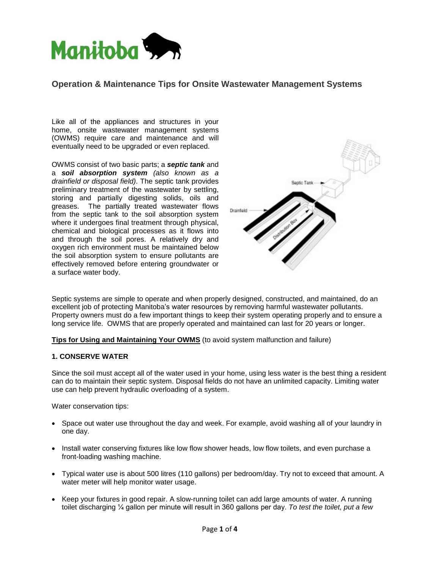

# **Operation & Maintenance Tips for Onsite Wastewater Management Systems**

Like all of the appliances and structures in your home, onsite wastewater management systems (OWMS) require care and maintenance and will eventually need to be upgraded or even replaced.

OWMS consist of two basic parts; a **septic tank** and a **soil absorption system** (also known as a drainfield or disposal field). The septic tank provides preliminary treatment of the wastewater by settling, storing and partially digesting solids, oils and greases. The partially treated wastewater flows from the septic tank to the soil absorption system where it undergoes final treatment through physical, chemical and biological processes as it flows into and through the soil pores. A relatively dry and oxygen rich environment must be maintained below the soil absorption system to ensure pollutants are effectively removed before entering groundwater or a surface water body.



Septic systems are simple to operate and when properly designed, constructed, and maintained, do an Septic systems are simple to operate and when properly designed, constructed, and maintained, do an<br>excellent job of protecting Manitoba's water resources by removing harmful wastewater pollutants. Property owners must do a few important things to keep their system operating properly and to ensure a long service life. OWMS that are properly operated and maintained can last for 20 years or longer.

**Tips for Using and Maintaining Your OWMS** (to avoid system malfunction and failure)

#### **1. CONSERVE WATER**

Since the soil must accept all of the water used in your home, using less water is the best thing a resident can do to maintain their septic system. Disposal fields do not have an unlimited capacity. Limiting water use can help prevent hydraulic overloading of a system.

Water conservation tips:

- Space out water use throughout the day and week. For example, avoid washing all of your laundry in one day.
- Install water conserving fixtures like low flow shower heads, low flow toilets, and even purchase a front-loading washing machine.
- llons) per bedroom/c<br>nning toilet can add la<br>sult in 360 gallons pe<br>Page **1** of **4**  Typical water use is about 500 litres (110 gallons) per bedroom/day. Try notto exceed that amount. A water meter will help monitor water usage.
- $\bullet$  Keep your fixtures in good repair. A slow-running toilet can add large amounts of water. A running toilet discharging  $\frac{1}{4}$  gallon per minute will result in 360 gallons per day. To test the toilet, put a few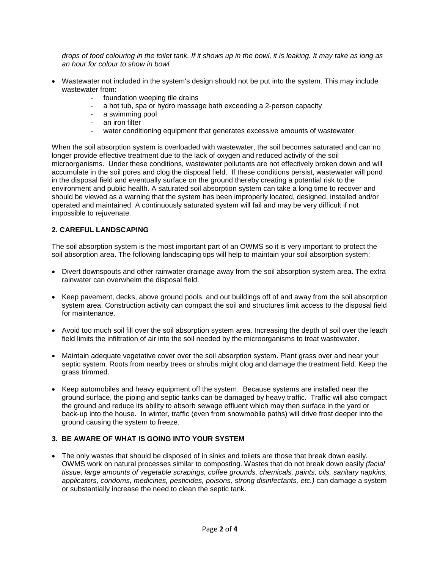drops of food colouring in the toilet tank. If it shows up in the bowl, it is leaking. It may take as long as an hour for colour to show in bowl.

- Wastewater not included in the system's design should not be put into the system. This may include wastewater from:
	- foundation weeping tile drains
	- a hot tub, spa or hydro massage bath exceeding a 2-person capacity
	- a swimming pool
	- an iron filter
	- water conditioning equipment that generates excessive amounts of wastewater

When the soil absorption system is overloaded with wastewater, the soil becomes saturated and can no longer provide effective treatment due to the lack of oxygen and reduced activity of the soil microorganisms. Under these conditions, wastewater pollutants are not effectively broken down and will accumulate in the soil pores and clog the disposal field. If these conditions persist, wastewater will pond in the disposal field and eventually surface on the ground thereby creating a potential risk to the environment and public health. A saturated soil absorption system can take a long time to recover and should be viewed as a warning that the system has been improperly located, designed, installed and/or operated and maintained. A continuously saturated system will fail and may be very difficult if not impossible to rejuvenate.

# **2. CAREFUL LANDSCAPING**

The soil absorption system is the most important part of an OWMS so it is very important to protect the soil absorption area. The following landscaping tips will help to maintain your soil absorption system:

- Divert downspouts and other rainwater drainage away from the soil absorption system area. The extra rainwater can overwhelm the disposal field.
- Keep pavement, decks, above ground pools, and out buildings off of and away from the soil absorption system area. Construction activity can compact the soil and structures limit access to the disposal field for maintenance.
- Avoid too much soil fill over the soil absorption system area. Increasing the depth of soil over the leach field limits the infiltration of air into the soil needed by the microorganisms to treat wastewater.
- Maintain adequate vegetative cover over the soil absorption system. Plant grass over and near your septic system. Roots from nearby trees or shrubs might clog and damage the treatment field. Keep the grass trimmed.
- Keep automobiles and heavy equipment off the system. Because systems are installed near the ground surface, the piping and septic tanks can be damaged by heavy traffic. Traffic will also compact the ground and reduce its ability to absorb sewage effluent which may then surface in the yard or back-up into the house. In winter, traffic (even from snowmobile paths) will drive frost deeper into the ground causing the system to freeze.

### **3. BE AWARE OF WHAT IS GOING INTO YOUR SYSTEM**

Owms work on natural processes similar to composing. Wastes that do not break down easily (*racial*<br>tissue, large amounts of vegetable scrapings, coffee grounds, chemicals, paints, oils, sanitary napkins, **2** of 4<br>**2** of *4*<br>**2** of 4<br>**2** of 4<br>**2** of 4 • The only wastes that should be disposed of in sinks and toilets are those that break down easily. OWMS work on natural processes similar to composting. Wastes that do not break down easily (facial applicators, condoms, medicines, pesticides, poisons, strong disinfectants, etc.) can damage a system or substantially increase the need to clean the septic tank.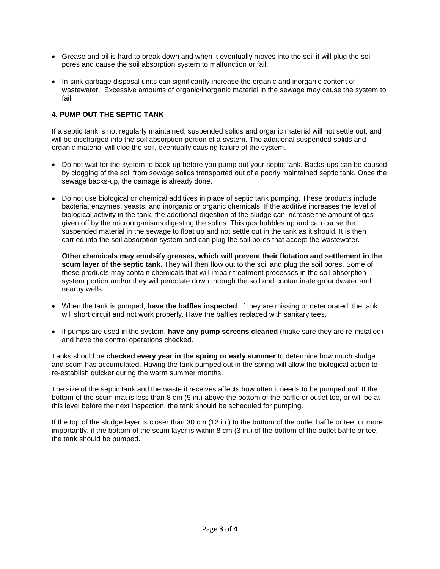- Grease and oil is hard to break down and when it eventually moves into the soil it will plug the soil pores and cause the soil absorption system to malfunction or fail.
- In-sink garbage disposal units can significantly increase the organic and inorganic content of wastewater. Excessive amounts of organic/inorganic material in the sewage may cause the system to fail.

# **4. PUMP OUT THE SEPTIC TANK**

If a septic tank is notregularly maintained, suspended solids and organic material will not settle out, and will be discharged into the soil absorption portion of a system. The additional suspended solids and organic material will clog the soil, eventually causing failure of the system.

- Do not wait for the system to back-up before you pump out your septic tank. Backs-ups can be caused by clogging of the soil from sewage solids transported out of a poorly maintained septic tank. Once the sewage backs-up, the damage is already done.
- Do not use biological or chemical additives in place of septic tank pumping. These products include bacteria, enzymes, yeasts, and inorganic or organic chemicals. If the additive increases the level of biological activity in the tank, the additional digestion of the sludge can increase the amount of gas given off by the microorganisms digesting the solids. This gas bubbles up and can cause the suspended material in the sewage to float up and not settle out in the tank as it should. It is then carried into the soil absorption system and can plug the soil pores that accept the wastewater.

**Other chemicals may emulsify greases, which will prevent their flotation and settlement in the scum layer of the septic tank.** They will then flow out to the soil and plug the soil pores. Some of these products may contain chemicals that will impair treatment processes in the soil absorption system portion and/or they will percolate down through the soil and contaminate groundwater and nearby wells.

- When the tank is pumped, **have the baffles inspected**. If they are missing or deteriorated, the tank will short circuit and not work properly. Have the baffles replaced with sanitary tees.
- If pumps are used in the system, **have any pump screens cleaned** (make sure they are re-installed) and have the control operations checked.

Tanks should be **checked every year in the spring or early summer** to determine how much sludge and scum has accumulated. Having the tank pumped out in the spring will allow the biological action to re-establish quicker during the warm summer months.

The size of the septic tank and the waste it receives affects how often it needs to be pumped out. If the bottom of the scum mat is less than 8 cm (5 in.) above the bottom of the baffle or outlet tee, or will be at this level before the next inspection, the tank should be scheduled for pumping.

If the top of the sludge layer is closer than 30 cm (12 in.) to the bottom of the outlet baffle or tee, or more importantly, if the bottom of the scum layer is within 8 cm (3 in.) of the bottom of the outlet baffle or tee, the tank should be pumped.